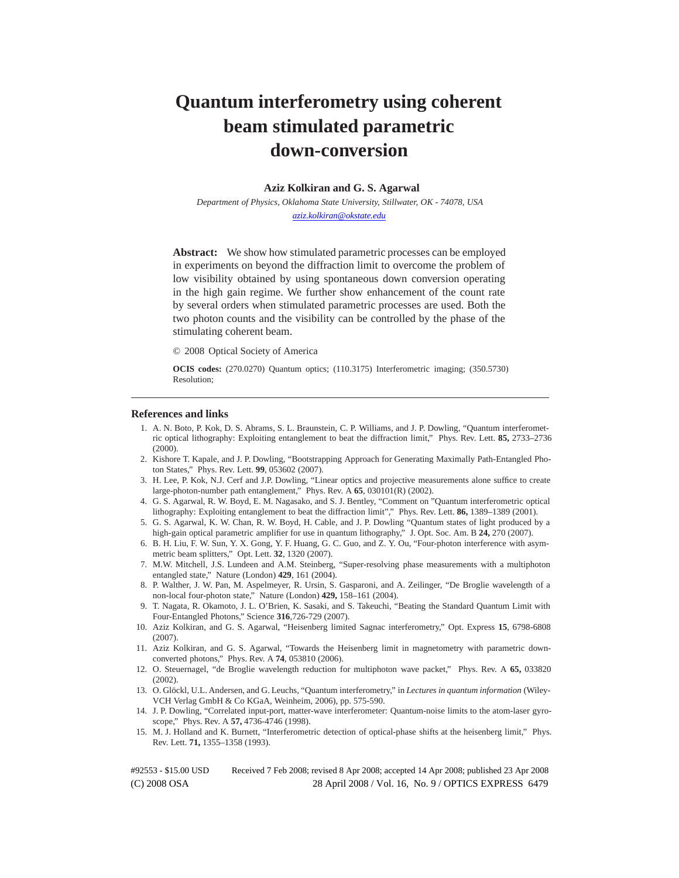## **Quantum interferometry using coherent beam stimulated parametric down-conversion**

## **Aziz Kolkiran and G. S. Agarwal**

*Department of Physics, Oklahoma State University, Stillwater, OK - 74078, USA aziz.kolkiran@okstate.edu*

**Abstract:** We show how stimulated parametric processes can be employed in experiments on beyond the diffraction limit to overcome the problem of low visibility obtained by using spontaneous down conversion operating in the high gain regime. We further show enhancement of the count rate by several orders when stimulated parametric processes are used. Both the two photon counts and the visibility can be controlled by the phase of the stimulating coherent beam.

© 2008 Optical Society of America

**OCIS codes:** (270.0270) Quantum optics; (110.3175) Interferometric imaging; (350.5730) Resolution;

## **References and links**

- 1. A. N. Boto, P. Kok, D. S. Abrams, S. L. Braunstein, C. P. Williams, and J. P. Dowling, "Quantum interferometric optical lithography: Exploiting entanglement to beat the diffraction limit," Phys. Rev. Lett. **85,** 2733–2736 (2000).
- 2. Kishore T. Kapale, and J. P. Dowling, "Bootstrapping Approach for Generating Maximally Path-Entangled Photon States," Phys. Rev. Lett. **99**, 053602 (2007).
- 3. H. Lee, P. Kok, N.J. Cerf and J.P. Dowling, "Linear optics and projective measurements alone suffice to create large-photon-number path entanglement," Phys. Rev. A **65**, 030101(R) (2002).
- 4. G. S. Agarwal, R. W. Boyd, E. M. Nagasako, and S. J. Bentley, "Comment on "Quantum interferometric optical lithography: Exploiting entanglement to beat the diffraction limit"," Phys. Rev. Lett. **86,** 1389–1389 (2001).
- 5. G. S. Agarwal, K. W. Chan, R. W. Boyd, H. Cable, and J. P. Dowling "Quantum states of light produced by a high-gain optical parametric amplifier for use in quantum lithography," J. Opt. Soc. Am. B **24,** 270 (2007).
- 6. B. H. Liu, F. W. Sun, Y. X. Gong, Y. F. Huang, G. C. Guo, and Z. Y. Ou, "Four-photon interference with asymmetric beam splitters," Opt. Lett. **32**, 1320 (2007).
- 7. M.W. Mitchell, J.S. Lundeen and A.M. Steinberg, "Super-resolving phase measurements with a multiphoton entangled state," Nature (London) **429**, 161 (2004).
- 8. P. Walther, J. W. Pan, M. Aspelmeyer, R. Ursin, S. Gasparoni, and A. Zeilinger, "De Broglie wavelength of a non-local four-photon state," Nature (London) **429,** 158–161 (2004).
- 9. T. Nagata, R. Okamoto, J. L. O'Brien, K. Sasaki, and S. Takeuchi, "Beating the Standard Quantum Limit with Four-Entangled Photons," Science **316**,726-729 (2007).
- 10. Aziz Kolkiran, and G. S. Agarwal, "Heisenberg limited Sagnac interferometry," Opt. Express **15**, 6798-6808 (2007).
- 11. Aziz Kolkiran, and G. S. Agarwal, "Towards the Heisenberg limit in magnetometry with parametric downconverted photons," Phys. Rev. A **74**, 053810 (2006).
- 12. O. Steuernagel, "de Broglie wavelength reduction for multiphoton wave packet," Phys. Rev. A **65,** 033820 (2002).
- 13. O. Glöckl, U.L. Andersen, and G. Leuchs, "Quantum interferometry," in *Lectures in quantum information* (Wiley-VCH Verlag GmbH & Co KGaA, Weinheim, 2006), pp. 575-590.
- 14. J. P. Dowling, "Correlated input-port, matter-wave interferometer: Quantum-noise limits to the atom-laser gyroscope," Phys. Rev. A **57,** 4736-4746 (1998).
- 15. M. J. Holland and K. Burnett, "Interferometric detection of optical-phase shifts at the heisenberg limit," Phys. Rev. Lett. **71,** 1355–1358 (1993).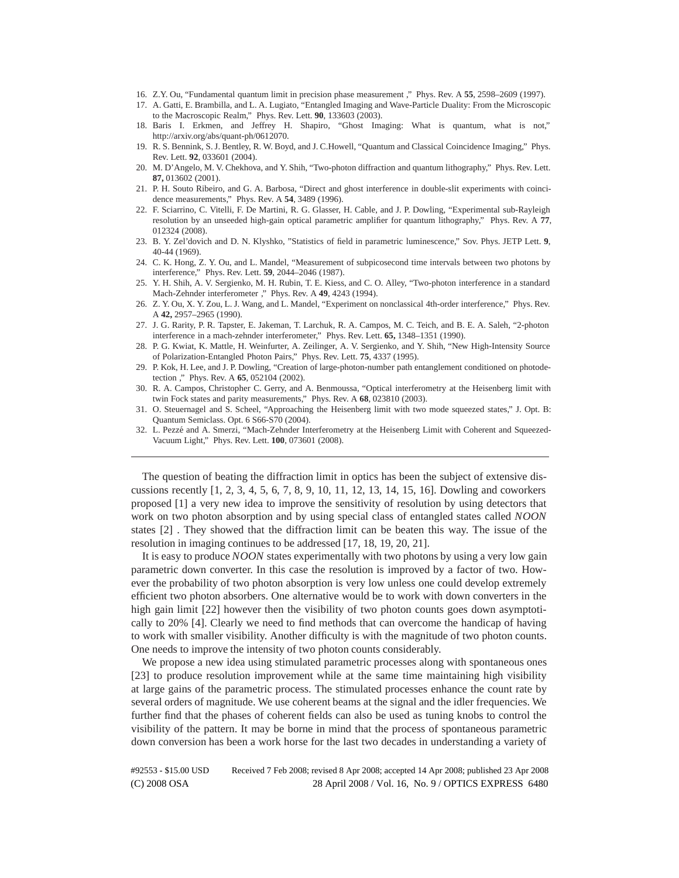- 16. Z.Y. Ou, "Fundamental quantum limit in precision phase measurement ," Phys. Rev. A **55**, 2598–2609 (1997).
- 17. A. Gatti, E. Brambilla, and L. A. Lugiato, "Entangled Imaging and Wave-Particle Duality: From the Microscopic to the Macroscopic Realm," Phys. Rev. Lett. **90**, 133603 (2003).
- 18. Baris I. Erkmen, and Jeffrey H. Shapiro, "Ghost Imaging: What is quantum, what is not," http://arxiv.org/abs/quant-ph/0612070.
- 19. R. S. Bennink, S. J. Bentley, R. W. Boyd, and J. C.Howell, "Quantum and Classical Coincidence Imaging," Phys. Rev. Lett. **92**, 033601 (2004).
- 20. M. D'Angelo, M. V. Chekhova, and Y. Shih, "Two-photon diffraction and quantum lithography," Phys. Rev. Lett. **87,** 013602 (2001).
- 21. P. H. Souto Ribeiro, and G. A. Barbosa, "Direct and ghost interference in double-slit experiments with coincidence measurements," Phys. Rev. A **54**, 3489 (1996).
- 22. F. Sciarrino, C. Vitelli, F. De Martini, R. G. Glasser, H. Cable, and J. P. Dowling, "Experimental sub-Rayleigh resolution by an unseeded high-gain optical parametric amplifier for quantum lithography," Phys. Rev. A **77**, 012324 (2008).
- 23. B. Y. Zel'dovich and D. N. Klyshko, "Statistics of field in parametric luminescence," Sov. Phys. JETP Lett. **9**, 40-44 (1969).
- 24. C. K. Hong, Z. Y. Ou, and L. Mandel, "Measurement of subpicosecond time intervals between two photons by interference," Phys. Rev. Lett. **59**, 2044–2046 (1987).
- 25. Y. H. Shih, A. V. Sergienko, M. H. Rubin, T. E. Kiess, and C. O. Alley, "Two-photon interference in a standard Mach-Zehnder interferometer ," Phys. Rev. A **49**, 4243 (1994).
- 26. Z. Y. Ou, X. Y. Zou, L. J. Wang, and L. Mandel, "Experiment on nonclassical 4th-order interference," Phys. Rev. A **42,** 2957–2965 (1990).
- 27. J. G. Rarity, P. R. Tapster, E. Jakeman, T. Larchuk, R. A. Campos, M. C. Teich, and B. E. A. Saleh, "2-photon interference in a mach-zehnder interferometer," Phys. Rev. Lett. **65,** 1348–1351 (1990).
- 28. P. G. Kwiat, K. Mattle, H. Weinfurter, A. Zeilinger, A. V. Sergienko, and Y. Shih, "New High-Intensity Source of Polarization-Entangled Photon Pairs," Phys. Rev. Lett. **75**, 4337 (1995).
- 29. P. Kok, H. Lee, and J. P. Dowling, "Creation of large-photon-number path entanglement conditioned on photodetection ," Phys. Rev. A **65**, 052104 (2002).
- 30. R. A. Campos, Christopher C. Gerry, and A. Benmoussa, "Optical interferometry at the Heisenberg limit with twin Fock states and parity measurements," Phys. Rev. A **68**, 023810 (2003).
- 31. O. Steuernagel and S. Scheel, "Approaching the Heisenberg limit with two mode squeezed states," J. Opt. B: Quantum Semiclass. Opt. 6 S66-S70 (2004).
- 32. L. Pezzé and A. Smerzi, "Mach-Zehnder Interferometry at the Heisenberg Limit with Coherent and Squeezed-Vacuum Light," Phys. Rev. Lett. **100**, 073601 (2008).

The question of beating the diffraction limit in optics has been the subject of extensive discussions recently [1, 2, 3, 4, 5, 6, 7, 8, 9, 10, 11, 12, 13, 14, 15, 16]. Dowling and coworkers proposed [1] a very new idea to improve the sensitivity of resolution by using detectors that work on two photon absorption and by using special class of entangled states called *NOON* states [2] . They showed that the diffraction limit can be beaten this way. The issue of the resolution in imaging continues to be addressed [17, 18, 19, 20, 21].

It is easy to produce *NOON* states experimentally with two photons by using a very low gain parametric down converter. In this case the resolution is improved by a factor of two. However the probability of two photon absorption is very low unless one could develop extremely efficient two photon absorbers. One alternative would be to work with down converters in the high gain limit [22] however then the visibility of two photon counts goes down asymptotically to 20% [4]. Clearly we need to find methods that can overcome the handicap of having to work with smaller visibility. Another difficulty is with the magnitude of two photon counts. One needs to improve the intensity of two photon counts considerably.

We propose a new idea using stimulated parametric processes along with spontaneous ones [23] to produce resolution improvement while at the same time maintaining high visibility at large gains of the parametric process. The stimulated processes enhance the count rate by several orders of magnitude. We use coherent beams at the signal and the idler frequencies. We further find that the phases of coherent fields can also be used as tuning knobs to control the visibility of the pattern. It may be borne in mind that the process of spontaneous parametric down conversion has been a work horse for the last two decades in understanding a variety of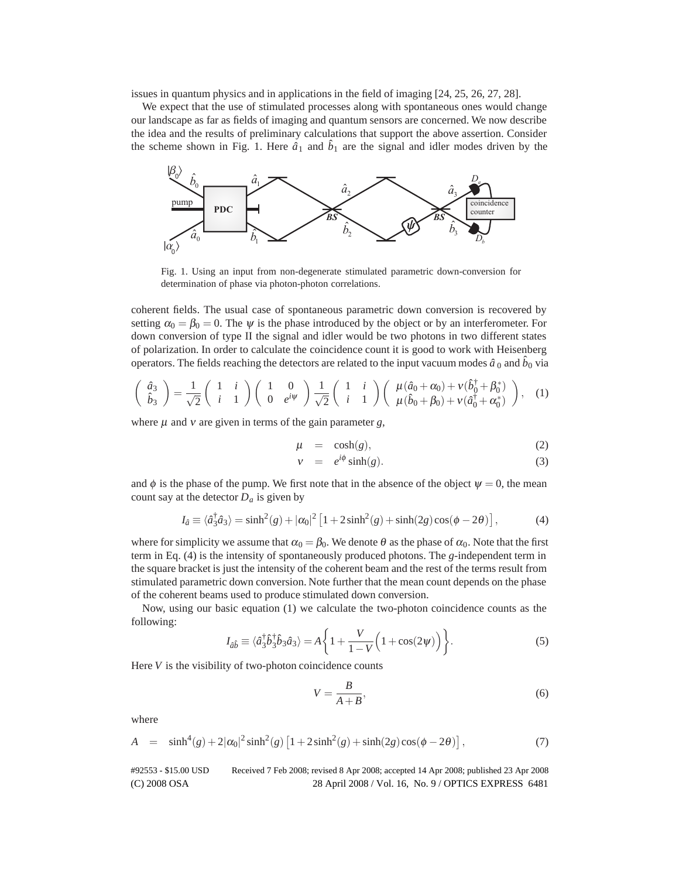issues in quantum physics and in applications in the field of imaging [24, 25, 26, 27, 28].

We expect that the use of stimulated processes along with spontaneous ones would change our landscape as far as fields of imaging and quantum sensors are concerned. We now describe the idea and the results of preliminary calculations that support the above assertion. Consider the scheme shown in Fig. 1. Here  $\hat{a}_1$  and  $\hat{b}_1$  are the signal and idler modes driven by the



Fig. 1. Using an input from non-degenerate stimulated parametric down-conversion for determination of phase via photon-photon correlations.

coherent fields. The usual case of spontaneous parametric down conversion is recovered by setting  $\alpha_0 = \beta_0 = 0$ . The  $\psi$  is the phase introduced by the object or by an interferometer. For down conversion of type II the signal and idler would be two photons in two different states of polarization. In order to calculate the coincidence count it is good to work with Heisenberg operators. The fields reaching the detectors are related to the input vacuum modes  $\hat{a}_0$  and  $\hat{b}_0$  via

$$
\begin{pmatrix}\n\hat{a}_3 \\
\hat{b}_3\n\end{pmatrix} = \frac{1}{\sqrt{2}} \begin{pmatrix}\n1 & i \\
i & 1\n\end{pmatrix} \begin{pmatrix}\n1 & 0 \\
0 & e^{i\psi}\n\end{pmatrix} \frac{1}{\sqrt{2}} \begin{pmatrix}\n1 & i \\
i & 1\n\end{pmatrix} \begin{pmatrix}\n\mu(\hat{a}_0 + \alpha_0) + v(\hat{b}_0^{\dagger} + \beta_0^*) \\
\mu(\hat{b}_0 + \beta_0) + v(\hat{a}_0^{\dagger} + \alpha_0^*)\n\end{pmatrix},
$$
\n(1)

where  $\mu$  and  $\nu$  are given in terms of the gain parameter *g*,

$$
\mu = \cosh(g), \tag{2}
$$

$$
v = e^{i\phi}\sinh(g). \tag{3}
$$

and  $\phi$  is the phase of the pump. We first note that in the absence of the object  $\psi = 0$ , the mean count say at the detector  $D_a$  is given by

$$
I_{\hat{a}} \equiv \langle \hat{a}_3^{\dagger} \hat{a}_3 \rangle = \sinh^2(g) + |\alpha_0|^2 \left[ 1 + 2\sinh^2(g) + \sinh(2g)\cos(\phi - 2\theta) \right],\tag{4}
$$

where for simplicity we assume that  $\alpha_0 = \beta_0$ . We denote  $\theta$  as the phase of  $\alpha_0$ . Note that the first term in Eq. (4) is the intensity of spontaneously produced photons. The *g*-independent term in the square bracket is just the intensity of the coherent beam and the rest of the terms result from stimulated parametric down conversion. Note further that the mean count depends on the phase of the coherent beams used to produce stimulated down conversion.

Now, using our basic equation (1) we calculate the two-photon coincidence counts as the following:

$$
I_{\hat{a}\hat{b}} \equiv \langle \hat{a}_3^{\dagger} \hat{b}_3^{\dagger} \hat{b}_3 \hat{a}_3 \rangle = A \left\{ 1 + \frac{V}{1 - V} \left( 1 + \cos(2\psi) \right) \right\}.
$$
 (5)

Here *V* is the visibility of two-photon coincidence counts

$$
V = \frac{B}{A+B},\tag{6}
$$

where

$$
A = \sinh^{4}(g) + 2|\alpha_{0}|^{2}\sinh^{2}(g)[1 + 2\sinh^{2}(g) + \sinh(2g)\cos(\phi - 2\theta)],
$$
\n(7)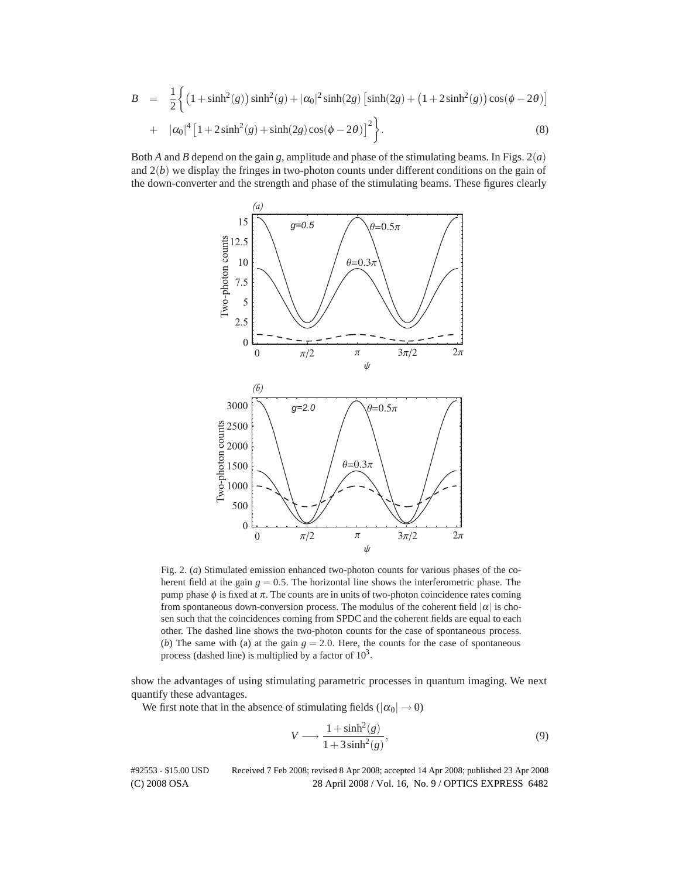$$
B = \frac{1}{2} \Big\{ \big( 1 + \sinh^2(g) \big) \sinh^2(g) + |\alpha_0|^2 \sinh(2g) \left[ \sinh(2g) + \left( 1 + 2 \sinh^2(g) \right) \cos(\phi - 2\theta) \right] + |\alpha_0|^4 \left[ 1 + 2 \sinh^2(g) + \sinh(2g) \cos(\phi - 2\theta) \right]^2 \Big\}.
$$
\n(8)

Both *A* and *B* depend on the gain *g*, amplitude and phase of the stimulating beams. In Figs. 2(*a*) and 2(*b*) we display the fringes in two-photon counts under different conditions on the gain of the down-converter and the strength and phase of the stimulating beams. These figures clearly



Fig. 2. (*a*) Stimulated emission enhanced two-photon counts for various phases of the coherent field at the gain  $g = 0.5$ . The horizontal line shows the interferometric phase. The pump phase  $\phi$  is fixed at  $\pi$ . The counts are in units of two-photon coincidence rates coming from spontaneous down-conversion process. The modulus of the coherent field  $|\alpha|$  is chosen such that the coincidences coming from SPDC and the coherent fields are equal to each other. The dashed line shows the two-photon counts for the case of spontaneous process. (*b*) The same with (a) at the gain  $g = 2.0$ . Here, the counts for the case of spontaneous process (dashed line) is multiplied by a factor of  $10<sup>3</sup>$ .

show the advantages of using stimulating parametric processes in quantum imaging. We next quantify these advantages.

We first note that in the absence of stimulating fields ( $|\alpha_0| \rightarrow 0$ )

$$
V \longrightarrow \frac{1 + \sinh^2(g)}{1 + 3\sinh^2(g)},
$$
\n(9)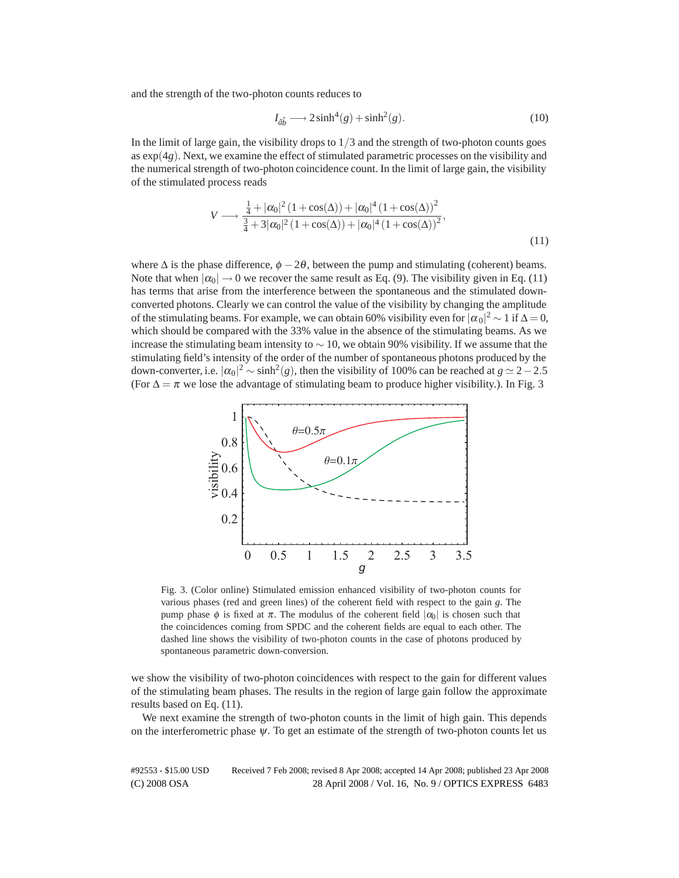and the strength of the two-photon counts reduces to

$$
I_{\hat{a}\hat{b}} \longrightarrow 2\sinh^4(g) + \sinh^2(g). \tag{10}
$$

In the limit of large gain, the visibility drops to 1*/*3 and the strength of two-photon counts goes as  $\exp(4g)$ . Next, we examine the effect of stimulated parametric processes on the visibility and the numerical strength of two-photon coincidence count. In the limit of large gain, the visibility of the stimulated process reads

$$
V \longrightarrow \frac{\frac{1}{4} + |\alpha_0|^2 (1 + \cos(\Delta)) + |\alpha_0|^4 (1 + \cos(\Delta))^2}{\frac{3}{4} + 3|\alpha_0|^2 (1 + \cos(\Delta)) + |\alpha_0|^4 (1 + \cos(\Delta))^2},
$$
\n(11)

where  $\Delta$  is the phase difference,  $\phi - 2\theta$ , between the pump and stimulating (coherent) beams. Note that when  $|\alpha_0| \to 0$  we recover the same result as Eq. (9). The visibility given in Eq. (11) has terms that arise from the interference between the spontaneous and the stimulated downconverted photons. Clearly we can control the value of the visibility by changing the amplitude of the stimulating beams. For example, we can obtain 60% visibility even for  $|\alpha_0|^2 \sim 1$  if  $\Delta = 0$ , which should be compared with the 33% value in the absence of the stimulating beams. As we increase the stimulating beam intensity to  $\sim$  10, we obtain 90% visibility. If we assume that the stimulating field's intensity of the order of the number of spontaneous photons produced by the down-converter, i.e.  $|\alpha_0|^2 \sim \sinh^2(g)$ , then the visibility of 100% can be reached at  $g \simeq 2-2.5$ (For  $\Delta = \pi$  we lose the advantage of stimulating beam to produce higher visibility.). In Fig. 3



Fig. 3. (Color online) Stimulated emission enhanced visibility of two-photon counts for various phases (red and green lines) of the coherent field with respect to the gain *g*. The pump phase  $\phi$  is fixed at  $\pi$ . The modulus of the coherent field  $|\alpha_0|$  is chosen such that the coincidences coming from SPDC and the coherent fields are equal to each other. The dashed line shows the visibility of two-photon counts in the case of photons produced by spontaneous parametric down-conversion.

we show the visibility of two-photon coincidences with respect to the gain for different values of the stimulating beam phases. The results in the region of large gain follow the approximate results based on Eq. (11).

We next examine the strength of two-photon counts in the limit of high gain. This depends on the interferometric phase  $\psi$ . To get an estimate of the strength of two-photon counts let us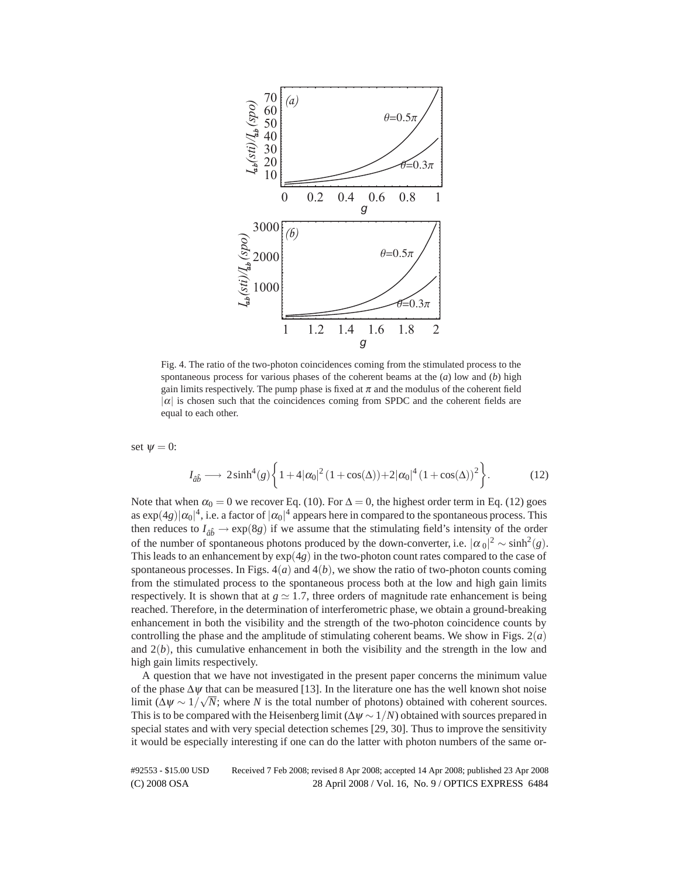

Fig. 4. The ratio of the two-photon coincidences coming from the stimulated process to the spontaneous process for various phases of the coherent beams at the (*a*) low and (*b*) high gain limits respectively. The pump phase is fixed at  $\pi$  and the modulus of the coherent field  $|\alpha|$  is chosen such that the coincidences coming from SPDC and the coherent fields are equal to each other.

set  $\psi = 0$ :

$$
I_{\hat{a}\hat{b}} \longrightarrow 2\sinh^4(g)\left\{1+4|\alpha_0|^2\left(1+\cos(\Delta)\right)+2|\alpha_0|^4\left(1+\cos(\Delta)\right)^2\right\}.\tag{12}
$$

Note that when  $\alpha_0 = 0$  we recover Eq. (10). For  $\Delta = 0$ , the highest order term in Eq. (12) goes as  $\exp(4g)|\alpha_0|^4$ , i.e. a factor of  $|\alpha_0|^4$  appears here in compared to the spontaneous process. This then reduces to  $I_{\hat{a}\hat{b}} \rightarrow \exp(8g)$  if we assume that the stimulating field's intensity of the order of the number of spontaneous photons produced by the down-converter, i.e.  $|\alpha_0|^2 \sim \sinh^2(g)$ . This leads to an enhancement by  $\exp(4g)$  in the two-photon count rates compared to the case of spontaneous processes. In Figs.  $4(a)$  and  $4(b)$ , we show the ratio of two-photon counts coming from the stimulated process to the spontaneous process both at the low and high gain limits respectively. It is shown that at  $g \approx 1.7$ , three orders of magnitude rate enhancement is being reached. Therefore, in the determination of interferometric phase, we obtain a ground-breaking enhancement in both the visibility and the strength of the two-photon coincidence counts by controlling the phase and the amplitude of stimulating coherent beams. We show in Figs.  $2(a)$ and 2(*b*), this cumulative enhancement in both the visibility and the strength in the low and high gain limits respectively.

A question that we have not investigated in the present paper concerns the minimum value of the phase  $\Delta \psi$  that can be measured [13]. In the literature one has the well known shot noise limit  $(\Delta \psi \sim 1/\sqrt{N})$ ; where *N* is the total number of photons) obtained with coherent sources. This is to be compared with the Heisenberg limit  $(\Delta \psi \sim 1/N)$  obtained with sources prepared in special states and with very special detection schemes [29, 30]. Thus to improve the sensitivity it would be especially interesting if one can do the latter with photon numbers of the same or-